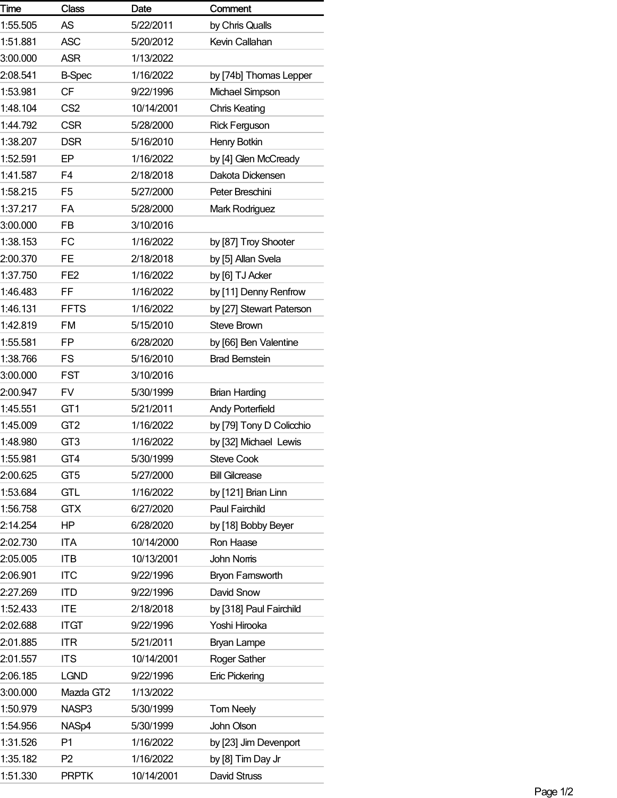| Time     | <b>Class</b>    | Date       | Comment                  |
|----------|-----------------|------------|--------------------------|
| 1:55.505 | <b>AS</b>       | 5/22/2011  | by Chris Qualls          |
| 1:51.881 | <b>ASC</b>      | 5/20/2012  | Kevin Callahan           |
| 3:00.000 | <b>ASR</b>      | 1/13/2022  |                          |
| 2:08.541 | <b>B-Spec</b>   | 1/16/2022  | by [74b] Thomas Lepper   |
| 1:53.981 | <b>CF</b>       | 9/22/1996  | Michael Simpson          |
| 1:48.104 | CS <sub>2</sub> | 10/14/2001 | <b>Chris Keating</b>     |
| 1:44.792 | <b>CSR</b>      | 5/28/2000  | <b>Rick Ferguson</b>     |
| 1:38.207 | <b>DSR</b>      | 5/16/2010  | Henry Botkin             |
| 1:52.591 | EP              | 1/16/2022  | by [4] Glen McCready     |
| 1:41.587 | F <sub>4</sub>  | 2/18/2018  | Dakota Dickensen         |
| 1:58.215 | F <sub>5</sub>  | 5/27/2000  | Peter Breschini          |
| 1:37.217 | FA              | 5/28/2000  | Mark Rodriguez           |
| 3:00.000 | FB              | 3/10/2016  |                          |
| 1:38.153 | <b>FC</b>       | 1/16/2022  | by [87] Troy Shooter     |
| 2:00.370 | <b>FE</b>       | 2/18/2018  | by [5] Allan Svela       |
| 1:37.750 | FE <sub>2</sub> | 1/16/2022  | by [6] TJ Acker          |
| 1:46.483 | FF              | 1/16/2022  | by [11] Denny Renfrow    |
| 1:46.131 | <b>FFTS</b>     | 1/16/2022  | by [27] Stewart Paterson |
| 1:42.819 | <b>FM</b>       | 5/15/2010  | <b>Steve Brown</b>       |
| 1:55.581 | FP              | 6/28/2020  | by [66] Ben Valentine    |
| 1:38.766 | FS              | 5/16/2010  | <b>Brad Bernstein</b>    |
| 3:00.000 | <b>FST</b>      | 3/10/2016  |                          |
| 2:00.947 | FV              | 5/30/1999  | <b>Brian Harding</b>     |
| 1:45.551 | GT <sub>1</sub> | 5/21/2011  | <b>Andy Porterfield</b>  |
| 1:45.009 | GT <sub>2</sub> | 1/16/2022  | by [79] Tony D Colicchio |
| 1:48.980 | GT <sub>3</sub> | 1/16/2022  | by [32] Michael Lewis    |
| 1:55.981 | GT4             | 5/30/1999  | <b>Steve Cook</b>        |
| 2:00.625 | GT <sub>5</sub> | 5/27/2000  | <b>Bill Gilcrease</b>    |
| 1:53.684 | <b>GTL</b>      | 1/16/2022  | by [121] Brian Linn      |
| 1:56.758 | <b>GTX</b>      | 6/27/2020  | Paul Fairchild           |
| 2:14.254 | ΗP              | 6/28/2020  | by [18] Bobby Beyer      |
| 2:02.730 | ITA             | 10/14/2000 | Ron Haase                |
| 2:05.005 | <b>ITB</b>      | 10/13/2001 | <b>John Noms</b>         |
| 2:06.901 | <b>ITC</b>      | 9/22/1996  | <b>Bryon Famsworth</b>   |
| 2:27.269 | <b>ITD</b>      | 9/22/1996  | David Snow               |
| 1:52.433 | <b>ITE</b>      | 2/18/2018  | by [318] Paul Fairchild  |
| 2:02.688 | <b>ITGT</b>     | 9/22/1996  | Yoshi Hirooka            |
| 2:01.885 | <b>ITR</b>      | 5/21/2011  | <b>Bryan Lampe</b>       |
| 2:01.557 | <b>ITS</b>      | 10/14/2001 | Roger Sather             |
| 2:06.185 | <b>LGND</b>     | 9/22/1996  | <b>Eric Pickering</b>    |
| 3:00.000 | Mazda GT2       | 1/13/2022  |                          |
| 1:50.979 | NASP3           | 5/30/1999  | <b>Tom Neely</b>         |
| 1:54.956 | NASp4           | 5/30/1999  | John Olson               |
| 1:31.526 | P <sub>1</sub>  | 1/16/2022  | by [23] Jim Devenport    |
| 1:35.182 | P <sub>2</sub>  | 1/16/2022  | by [8] Tim Day Jr        |
| 1:51.330 | <b>PRPTK</b>    | 10/14/2001 | David Struss             |